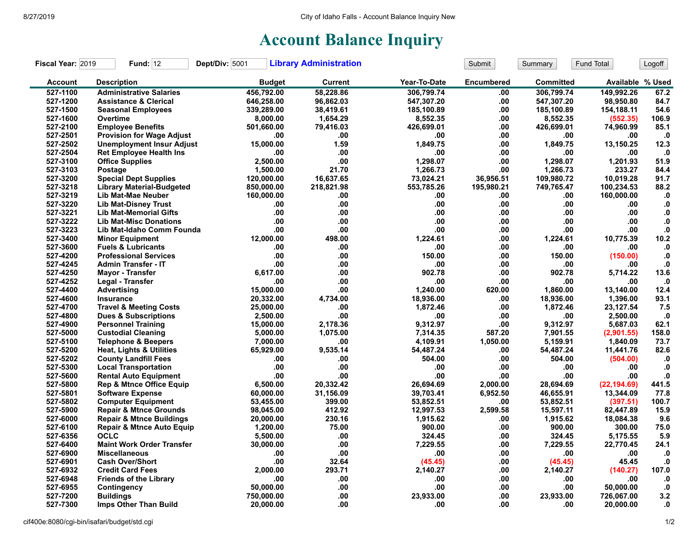## **Account Balance Inquiry**

| Fiscal Year: 2019 | <b>Fund: 12</b>                      | Dept/Div: 5001 | <b>Library Administration</b> |              | Submit            | Summary    | Fund Total       | Logoff        |
|-------------------|--------------------------------------|----------------|-------------------------------|--------------|-------------------|------------|------------------|---------------|
| <b>Account</b>    | <b>Description</b>                   | <b>Budget</b>  | <b>Current</b>                | Year-To-Date | <b>Encumbered</b> | Committed  | Available % Used |               |
| 527-1100          | <b>Administrative Salaries</b>       | 456,792.00     | 58.228.86                     | 306.799.74   | .00               | 306.799.74 | 149.992.26       | 67.2          |
| 527-1200          | <b>Assistance &amp; Clerical</b>     | 646,258.00     | 96,862.03                     | 547,307.20   | .00               | 547,307.20 | 98,950.80        | 84.7          |
| 527-1500          | <b>Seasonal Employees</b>            | 339,289.00     | 38,419.61                     | 185,100.89   | .00               | 185,100.89 | 154,188.11       | 54.6          |
| 527-1600          | Overtime                             | 8,000.00       | 1,654.29                      | 8,552.35     | .00               | 8,552.35   | (552.35)         | 106.9         |
| 527-2100          | <b>Employee Benefits</b>             | 501.660.00     | 79,416.03                     | 426.699.01   | .00               | 426.699.01 | 74,960.99        | 85.1          |
| 527-2501          | <b>Provision for Wage Adjust</b>     | .00            | .00                           | .00          | .00               | .00        | .00              | $\mathbf{0}$  |
| 527-2502          | <b>Unemployment Insur Adjust</b>     | 15,000.00      | 1.59                          | 1.849.75     | .00               | 1,849.75   | 13,150.25        | 12.3          |
| 527-2504          | <b>Ret Employee Health Ins</b>       | .00            | .00                           | .00          | .00               | .00        | .00              | $\cdot$       |
| 527-3100          | <b>Office Supplies</b>               | 2,500.00       | .00                           | 1,298.07     | .00               | 1,298.07   | 1,201.93         | 51.9          |
| 527-3103          | Postage                              | 1,500.00       | 21.70                         | 1,266.73     | .00               | 1,266.73   | 233.27           | 84.4          |
| 527-3200          | <b>Special Dept Supplies</b>         | 120,000.00     | 16.637.65                     | 73,024.21    | 36.956.51         | 109,980.72 | 10.019.28        | 91.7          |
| 527-3218          | <b>Library Material-Budgeted</b>     | 850,000.00     | 218,821.98                    | 553,785.26   | 195,980.21        | 749,765.47 | 100,234.53       | 88.2          |
| 527-3219          | Lib Mat-Mae Neuber                   | 160,000.00     | .00                           | .00          | .00               | .00        | 160,000.00       | ${\bf .0}$    |
| 527-3220          | <b>Lib Mat-Disney Trust</b>          | .00            | .00                           | .00          | .00               | .00        | .00              | $\mathbf{.0}$ |
| 527-3221          | <b>Lib Mat-Memorial Gifts</b>        | .00            | .00                           | .00.         | .00               | .00        | .00              | $\mathbf{0}$  |
| 527-3222          | <b>Lib Mat-Misc Donations</b>        | .00            | .00                           | .00          | .00               | .00        | .00.             | ${\bf .0}$    |
| 527-3223          | Lib Mat-Idaho Comm Founda            | .00            | .00.                          | .00.         | .00               | .00        | .00              | ${\bf .0}$    |
| 527-3400          | <b>Minor Equipment</b>               | 12,000.00      | 498.00                        | 1,224.61     | .00               | 1,224.61   | 10,775.39        | 10.2          |
| 527-3600          | <b>Fuels &amp; Lubricants</b>        | .00            | .00                           | .00          | .00               | .00        | .00              | $\bf{.0}$     |
| 527-4200          | <b>Professional Services</b>         | .00            | .00                           | 150.00       | .00               | 150.00     | (150.00)         | ${\bf .0}$    |
| 527-4245          | <b>Admin Transfer - IT</b>           | .00            | .00                           | .00          | .00               | .00        | .00              | ${\bf .0}$    |
| 527-4250          | <b>Mayor - Transfer</b>              | 6.617.00       | .00                           | 902.78       | .00               | 902.78     | 5,714.22         | 13.6          |
| 527-4252          | Legal - Transfer                     | .00            | .00                           | .00          | .00               | .00        | .00              | $\mathbf{0}$  |
| 527-4400          | <b>Advertising</b>                   | 15,000.00      | .00                           | 1,240.00     | 620.00            | 1,860.00   | 13,140.00        | 12.4          |
| 527-4600          | <b>Insurance</b>                     | 20,332.00      | 4,734.00                      | 18,936.00    | .00               | 18,936.00  | 1,396.00         | 93.1          |
| 527-4700          | <b>Travel &amp; Meeting Costs</b>    | 25,000.00      | .00                           | 1,872.46     | .00               | 1,872.46   | 23,127.54        | 7.5           |
| 527-4800          | <b>Dues &amp; Subscriptions</b>      | 2,500.00       | .00                           | .00          | .00               | .00        | 2,500.00         | $\cdot$ 0     |
| 527-4900          | <b>Personnel Training</b>            | 15,000.00      | 2,178.36                      | 9,312.97     | .00               | 9,312.97   | 5,687.03         | 62.1          |
| 527-5000          | <b>Custodial Cleaning</b>            | 5,000.00       | 1,075.00                      | 7,314.35     | 587.20            | 7,901.55   | (2,901.55)       | 158.0         |
| 527-5100          | <b>Telephone &amp; Beepers</b>       | 7,000.00       | .00                           | 4,109.91     | 1,050.00          | 5,159.91   | 1.840.09         | 73.7          |
| 527-5200          | <b>Heat, Lights &amp; Utilities</b>  | 65,929.00      | 9,535.14                      | 54,487.24    | .00               | 54,487.24  | 11,441.76        | 82.6          |
| 527-5202          | <b>County Landfill Fees</b>          | .00            | .00                           | 504.00       | .00               | 504.00     | (504.00)         | .0            |
| 527-5300          | <b>Local Transportation</b>          | .00            | .00                           | .00          | .00               | .00        | .00              | $\cdot$       |
| 527-5600          | <b>Rental Auto Equipment</b>         | .00            | .00                           | .00          | .00               | .00        | .00              | $\mathbf{0}$  |
| 527-5800          | <b>Rep &amp; Mtnce Office Equip</b>  | 6,500.00       | 20,332.42                     | 26,694.69    | 2,000.00          | 28,694.69  | (22, 194.69)     | 441.5         |
| 527-5801          | <b>Software Expense</b>              | 60,000.00      | 31,156.09                     | 39,703.41    | 6,952.50          | 46,655.91  | 13,344.09        | 77.8          |
| 527-5802          | <b>Computer Equipment</b>            | 53,455.00      | 399.00                        | 53,852.51    | .00               | 53,852.51  | (397.51)         | 100.7         |
| 527-5900          | <b>Repair &amp; Mtnce Grounds</b>    | 98,045.00      | 412.92                        | 12.997.53    | 2,599.58          | 15,597.11  | 82,447.89        | 15.9          |
| 527-6000          | <b>Repair &amp; Mtnce Buildings</b>  | 20,000.00      | 230.16                        | 1,915.62     | .00               | 1,915.62   | 18,084.38        | 9.6           |
| 527-6100          | <b>Repair &amp; Mtnce Auto Equip</b> | 1,200.00       | 75.00                         | 900.00       | .00               | 900.00     | 300.00           | 75.0          |
| 527-6356          | <b>OCLC</b>                          | 5,500.00       | .00                           | 324.45       | .00               | 324.45     | 5,175.55         | 5.9           |
| 527-6400          | <b>Maint Work Order Transfer</b>     | 30,000.00      | .00                           | 7,229.55     | .00               | 7,229.55   | 22,770.45        | 24.1          |
| 527-6900          | <b>Miscellaneous</b>                 | .00            | .00.                          | .00          | .00               | .00        | .00              | ${\bf .0}$    |
| 527-6901          | <b>Cash Over/Short</b>               | .00            | 32.64                         | (45.45)      | .00               | (45.45)    | 45.45            | $\mathbf{0}$  |
| 527-6932          | <b>Credit Card Fees</b>              | 2.000.00       | 293.71                        | 2,140.27     | .00               | 2,140.27   | (140.27)         | 107.0         |
| 527-6948          | <b>Friends of the Library</b>        | .00            | .00                           | .00          | .00               | .00        | .00              | $\cdot$ 0     |
| 527-6955          | Contingency                          | 50,000.00      | .00                           | .00.         | .00               | .00        | 50,000.00        | $\cdot$ 0     |
| 527-7200          | <b>Buildings</b>                     | 750,000.00     | .00                           | 23,933.00    | .00               | 23,933.00  | 726,067.00       | 3.2           |
| 527-7300          | Imps Other Than Build                | 20,000.00      | .00                           | .00          | .00               | .00        | 20,000.00        | 0.            |